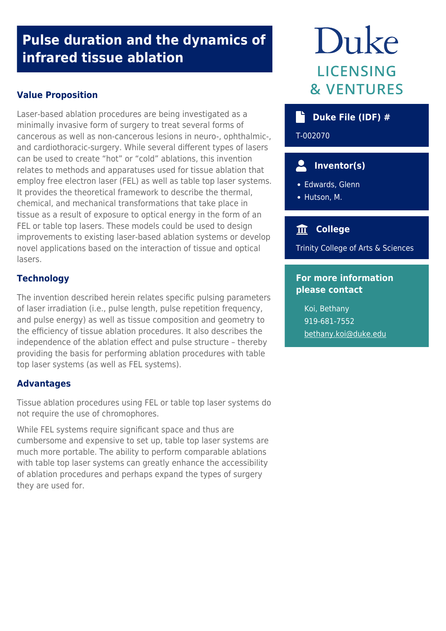## **Pulse duration and the dynamics of infrared tissue ablation**

## **Value Proposition**

Laser-based ablation procedures are being investigated as a minimally invasive form of surgery to treat several forms of cancerous as well as non-cancerous lesions in neuro-, ophthalmic-, and cardiothoracic-surgery. While several different types of lasers can be used to create "hot" or "cold" ablations, this invention relates to methods and apparatuses used for tissue ablation that employ free electron laser (FEL) as well as table top laser systems. It provides the theoretical framework to describe the thermal, chemical, and mechanical transformations that take place in tissue as a result of exposure to optical energy in the form of an FEL or table top lasers. These models could be used to design improvements to existing laser-based ablation systems or develop novel applications based on the interaction of tissue and optical lasers.

## **Technology**

The invention described herein relates specific pulsing parameters of laser irradiation (i.e., pulse length, pulse repetition frequency, and pulse energy) as well as tissue composition and geometry to the efficiency of tissue ablation procedures. It also describes the independence of the ablation effect and pulse structure – thereby providing the basis for performing ablation procedures with table top laser systems (as well as FEL systems).

### **Advantages**

Tissue ablation procedures using FEL or table top laser systems do not require the use of chromophores.

While FEL systems require significant space and thus are cumbersome and expensive to set up, table top laser systems are much more portable. The ability to perform comparable ablations with table top laser systems can greatly enhance the accessibility of ablation procedures and perhaps expand the types of surgery they are used for.

# Duke **LICENSING & VENTURES**

## **b** Duke File (IDF) #

T-002070

## **Inventor(s)**

Edwards, Glenn

Hutson, M.

## **College**

Trinity College of Arts & Sciences

### **For more information please contact**

Koi, Bethany 919-681-7552 [bethany.koi@duke.edu](mailto:bethany.koi@duke.edu)